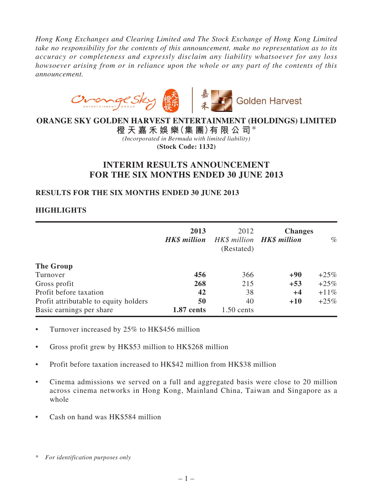*Hong Kong Exchanges and Clearing Limited and The Stock Exchange of Hong Kong Limited take no responsibility for the contents of this announcement, make no representation as to its accuracy or completeness and expressly disclaim any liability whatsoever for any loss howsoever arising from or in reliance upon the whole or any part of the contents of this announcement.*



# **ORANGE SKY GOLDEN HARVEST ENTERTAINMENT (HOLDINGS) LIMITED**

**橙 天 嘉 禾 娛 樂(集 團)有 限 公 司**\* *(Incorporated in Bermuda with limited liability)* **(Stock Code: 1132)**

# **INTERIM RESULTS ANNOUNCEMENT FOR THE SIX MONTHS ENDED 30 JUNE 2013**

# **RESULTS FOR THE SIX MONTHS ENDED 30 JUNE 2013**

# **HIGHLIGHTS**

|                                       | 2013<br><b>HK\$</b> million | 2012<br>HK\$ million <b>HK\$ million</b><br>(Restated) | <b>Changes</b> | $\%$    |
|---------------------------------------|-----------------------------|--------------------------------------------------------|----------------|---------|
| The Group                             |                             |                                                        |                |         |
| Turnover                              | 456                         | 366                                                    | $+90$          | $+25\%$ |
| Gross profit                          | 268                         | 215                                                    | $+53$          | $+25%$  |
| Profit before taxation                | 42                          | 38                                                     | $+4$           | $+11\%$ |
| Profit attributable to equity holders | 50                          | 40                                                     | $+10$          | $+25\%$ |
| Basic earnings per share              | 1.87 cents                  | $1.50$ cents                                           |                |         |

- Turnover increased by 25% to HK\$456 million
- Gross profit grew by HK\$53 million to HK\$268 million
- Profit before taxation increased to HK\$42 million from HK\$38 million
- Cinema admissions we served on a full and aggregated basis were close to 20 million across cinema networks in Hong Kong, Mainland China, Taiwan and Singapore as a whole
- Cash on hand was HK\$584 million

<sup>\*</sup> *For identification purposes only*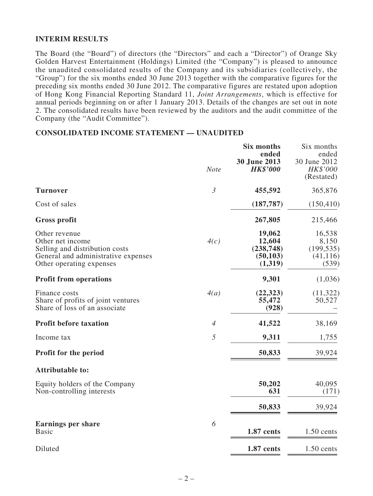# **INTERIM RESULTS**

The Board (the "Board") of directors (the "Directors" and each a "Director") of Orange Sky Golden Harvest Entertainment (Holdings) Limited (the "Company") is pleased to announce the unaudited consolidated results of the Company and its subsidiaries (collectively, the "Group") for the six months ended 30 June 2013 together with the comparative figures for the preceding six months ended 30 June 2012. The comparative figures are restated upon adoption of Hong Kong Financial Reporting Standard 11, *Joint Arrangements*, which is effective for annual periods beginning on or after 1 January 2013. Details of the changes are set out in note 2. The consolidated results have been reviewed by the auditors and the audit committee of the Company (the "Audit Committee").

### **CONSOLIDATED INCOME STATEMENT — UNAUDITED**

|                                                                                                                                        | <b>Note</b>    | Six months<br>ended<br>30 June 2013<br><b>HK\$'000</b> | Six months<br>ended<br>30 June 2012<br>HK\$'000<br>(Restated) |
|----------------------------------------------------------------------------------------------------------------------------------------|----------------|--------------------------------------------------------|---------------------------------------------------------------|
| <b>Turnover</b>                                                                                                                        | $\mathfrak{Z}$ | 455,592                                                | 365,876                                                       |
| Cost of sales                                                                                                                          |                | (187, 787)                                             | (150, 410)                                                    |
| <b>Gross profit</b>                                                                                                                    |                | 267,805                                                | 215,466                                                       |
| Other revenue<br>Other net income<br>Selling and distribution costs<br>General and administrative expenses<br>Other operating expenses | 4(c)           | 19,062<br>12,604<br>(238, 748)<br>(50, 103)<br>(1,319) | 16,538<br>8,150<br>(199, 535)<br>(41, 116)<br>(539)           |
| <b>Profit from operations</b>                                                                                                          |                | 9,301                                                  | (1,036)                                                       |
| Finance costs<br>Share of profits of joint ventures<br>Share of loss of an associate                                                   | 4(a)           | (22, 323)<br>55,472<br>(928)                           | (11,322)<br>50,527                                            |
| <b>Profit before taxation</b>                                                                                                          | $\overline{4}$ | 41,522                                                 | 38,169                                                        |
| Income tax                                                                                                                             | 5              | 9,311                                                  | 1,755                                                         |
| <b>Profit for the period</b>                                                                                                           |                | 50,833                                                 | 39,924                                                        |
| <b>Attributable to:</b>                                                                                                                |                |                                                        |                                                               |
| Equity holders of the Company<br>Non-controlling interests                                                                             |                | 50,202<br>631                                          | 40,095<br>(171)                                               |
|                                                                                                                                        |                | 50,833                                                 | 39,924                                                        |
| <b>Earnings per share</b><br><b>Basic</b>                                                                                              | 6              | 1.87 cents                                             | $1.50$ cents                                                  |
| Diluted                                                                                                                                |                | 1.87 cents                                             | $1.50$ cents                                                  |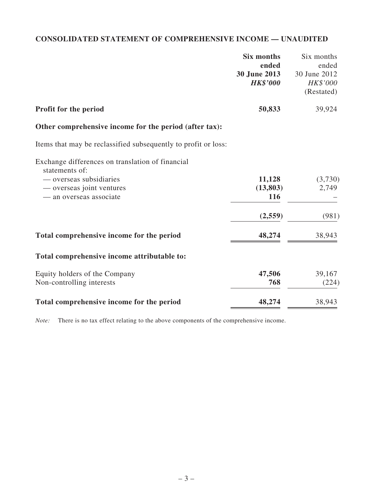# **CONSOLIDATED STATEMENT OF COMPREHENSIVE INCOME — Unaudited**

|                                                                | <b>Six months</b> | Six months   |
|----------------------------------------------------------------|-------------------|--------------|
|                                                                | ended             | ended        |
|                                                                | 30 June 2013      | 30 June 2012 |
|                                                                | <b>HK\$'000</b>   | HK\$'000     |
|                                                                |                   | (Restated)   |
| Profit for the period                                          | 50,833            | 39,924       |
| Other comprehensive income for the period (after tax):         |                   |              |
| Items that may be reclassified subsequently to profit or loss: |                   |              |
| Exchange differences on translation of financial               |                   |              |
| statements of:                                                 |                   |              |
| — overseas subsidiaries                                        | 11,128            | (3,730)      |
| — overseas joint ventures                                      | (13, 803)         | 2,749        |
| — an overseas associate                                        | 116               |              |
|                                                                | (2,559)           | (981)        |
| Total comprehensive income for the period                      | 48,274            | 38,943       |
| Total comprehensive income attributable to:                    |                   |              |
| Equity holders of the Company                                  | 47,506            | 39,167       |
| Non-controlling interests                                      | 768               | (224)        |
| Total comprehensive income for the period                      | 48,274            | 38,943       |

*Note:* There is no tax effect relating to the above components of the comprehensive income.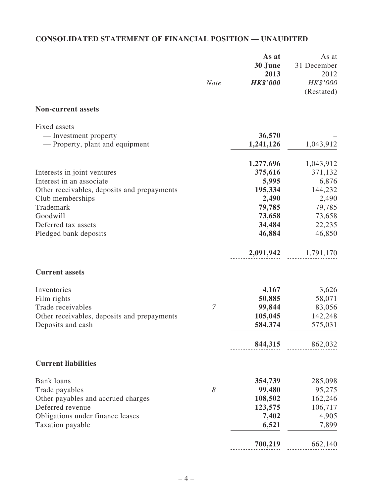# **CONSOLIDATED STATEMENT OF FINANCIAL POSITION — UNAUDITED**

|                                                          | <b>Note</b>    | As at<br>30 June<br>2013<br><b>HK\$'000</b> | As at<br>31 December<br>2012<br>HK\$'000<br>(Restated) |
|----------------------------------------------------------|----------------|---------------------------------------------|--------------------------------------------------------|
| <b>Non-current assets</b>                                |                |                                             |                                                        |
| Fixed assets                                             |                |                                             |                                                        |
| — Investment property<br>— Property, plant and equipment |                | 36,570<br>1,241,126                         | 1,043,912                                              |
|                                                          |                | 1,277,696                                   | 1,043,912                                              |
| Interests in joint ventures                              |                | 375,616                                     | 371,132                                                |
| Interest in an associate                                 |                | 5,995                                       | 6,876                                                  |
| Other receivables, deposits and prepayments              |                | 195,334                                     | 144,232                                                |
| Club memberships                                         |                | 2,490                                       | 2,490                                                  |
| Trademark                                                |                | 79,785                                      | 79,785                                                 |
| Goodwill                                                 |                | 73,658                                      | 73,658                                                 |
| Deferred tax assets                                      |                | 34,484                                      | 22,235                                                 |
| Pledged bank deposits                                    |                | 46,884                                      | 46,850                                                 |
|                                                          |                | 2,091,942                                   | 1,791,170                                              |
| <b>Current assets</b>                                    |                |                                             |                                                        |
| Inventories                                              |                | 4,167                                       | 3,626                                                  |
| Film rights                                              |                | 50,885                                      | 58,071                                                 |
| Trade receivables                                        | $\overline{7}$ | 99,844                                      | 83,056                                                 |
| Other receivables, deposits and prepayments              |                | 105,045                                     | 142,248                                                |
| Deposits and cash                                        |                | 584,374                                     | 575,031                                                |
|                                                          |                | 844,315                                     | 862,032                                                |
| <b>Current liabilities</b>                               |                |                                             |                                                        |
| <b>Bank</b> loans                                        |                | 354,739                                     | 285,098                                                |
| Trade payables                                           | 8              | 99,480                                      | 95,275                                                 |
| Other payables and accrued charges                       |                | 108,502                                     | 162,246                                                |
| Deferred revenue                                         |                | 123,575                                     | 106,717                                                |
| Obligations under finance leases                         |                | 7,402                                       | 4,905                                                  |
| Taxation payable                                         |                | 6,521                                       | 7,899                                                  |
|                                                          |                | 700,219                                     | 662,140                                                |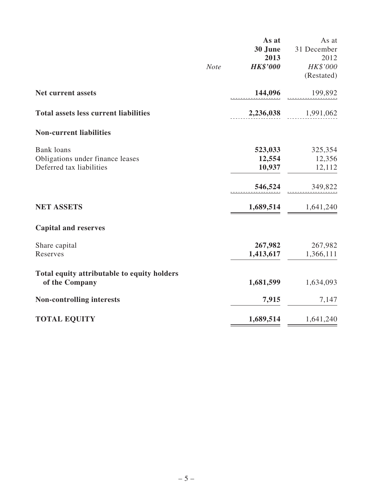|                                              |             | As at           | As at               |
|----------------------------------------------|-------------|-----------------|---------------------|
|                                              |             | 30 June         | 31 December         |
|                                              |             | 2013            | 2012                |
|                                              | <b>Note</b> | <b>HK\$'000</b> | HK\$'000            |
|                                              |             |                 | (Restated)          |
| <b>Net current assets</b>                    |             | 144,096         | 199,892             |
| <b>Total assets less current liabilities</b> |             | 2,236,038       | 1,991,062           |
| <b>Non-current liabilities</b>               |             |                 |                     |
| <b>Bank</b> loans                            |             | 523,033         | 325,354             |
| Obligations under finance leases             |             | 12,554          | 12,356              |
| Deferred tax liabilities                     |             | 10,937          | 12,112              |
|                                              |             | 546,524         | 349,822             |
| <b>NET ASSETS</b>                            |             |                 | 1,689,514 1,641,240 |
| <b>Capital and reserves</b>                  |             |                 |                     |
| Share capital                                |             | 267,982         | 267,982             |
| Reserves                                     |             | 1,413,617       | 1,366,111           |
| Total equity attributable to equity holders  |             |                 |                     |
| of the Company                               |             | 1,681,599       | 1,634,093           |
| <b>Non-controlling interests</b>             |             | 7,915           | 7,147               |
| <b>TOTAL EQUITY</b>                          |             | 1,689,514       | 1,641,240           |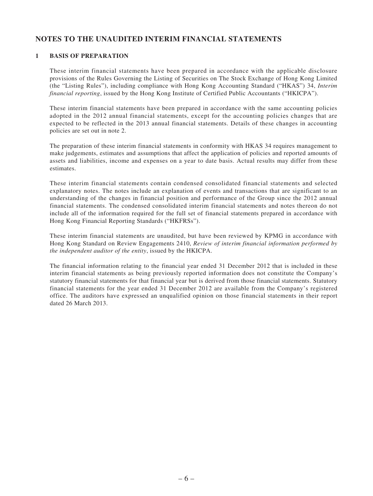# **NOTES TO THE UNAUDITED INTERIM FINANCIAL statements**

#### **1 Basis of preparation**

These interim financial statements have been prepared in accordance with the applicable disclosure provisions of the Rules Governing the Listing of Securities on The Stock Exchange of Hong Kong Limited (the "Listing Rules"), including compliance with Hong Kong Accounting Standard ("HKAS") 34, *Interim financial reporting*, issued by the Hong Kong Institute of Certified Public Accountants ("HKICPA").

These interim financial statements have been prepared in accordance with the same accounting policies adopted in the 2012 annual financial statements, except for the accounting policies changes that are expected to be reflected in the 2013 annual financial statements. Details of these changes in accounting policies are set out in note 2.

The preparation of these interim financial statements in conformity with HKAS 34 requires management to make judgements, estimates and assumptions that affect the application of policies and reported amounts of assets and liabilities, income and expenses on a year to date basis. Actual results may differ from these estimates.

These interim financial statements contain condensed consolidated financial statements and selected explanatory notes. The notes include an explanation of events and transactions that are significant to an understanding of the changes in financial position and performance of the Group since the 2012 annual financial statements. The condensed consolidated interim financial statements and notes thereon do not include all of the information required for the full set of financial statements prepared in accordance with Hong Kong Financial Reporting Standards ("HKFRSs").

These interim financial statements are unaudited, but have been reviewed by KPMG in accordance with Hong Kong Standard on Review Engagements 2410, *Review of interim financial information performed by the independent auditor of the entity*, issued by the HKICPA.

The financial information relating to the financial year ended 31 December 2012 that is included in these interim financial statements as being previously reported information does not constitute the Company's statutory financial statements for that financial year but is derived from those financial statements. Statutory financial statements for the year ended 31 December 2012 are available from the Company's registered office. The auditors have expressed an unqualified opinion on those financial statements in their report dated 26 March 2013.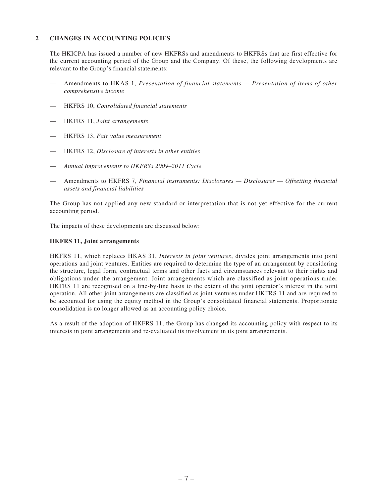#### **2 Changes in accounting policies**

The HKICPA has issued a number of new HKFRSs and amendments to HKFRSs that are first effective for the current accounting period of the Group and the Company. Of these, the following developments are relevant to the Group's financial statements:

- Amendments to HKAS 1, *Presentation of financial statements Presentation of items of other comprehensive income*
- — HKFRS 10, *Consolidated financial statements*
- — HKFRS 11, *Joint arrangements*
- — HKFRS 13, *Fair value measurement*
- — HKFRS 12, *Disclosure of interests in other entities*
- *Annual Improvements to HKFRSs 2009–2011 Cycle*
- Amendments to HKFRS 7, *Financial instruments: Disclosures Disclosures Offsetting financial assets and financial liabilities*

The Group has not applied any new standard or interpretation that is not yet effective for the current accounting period.

The impacts of these developments are discussed below:

#### **HKFRS 11, Joint arrangements**

HKFRS 11, which replaces HKAS 31, *Interests in joint ventures*, divides joint arrangements into joint operations and joint ventures. Entities are required to determine the type of an arrangement by considering the structure, legal form, contractual terms and other facts and circumstances relevant to their rights and obligations under the arrangement. Joint arrangements which are classified as joint operations under HKFRS 11 are recognised on a line-by-line basis to the extent of the joint operator's interest in the joint operation. All other joint arrangements are classified as joint ventures under HKFRS 11 and are required to be accounted for using the equity method in the Group's consolidated financial statements. Proportionate consolidation is no longer allowed as an accounting policy choice.

As a result of the adoption of HKFRS 11, the Group has changed its accounting policy with respect to its interests in joint arrangements and re-evaluated its involvement in its joint arrangements.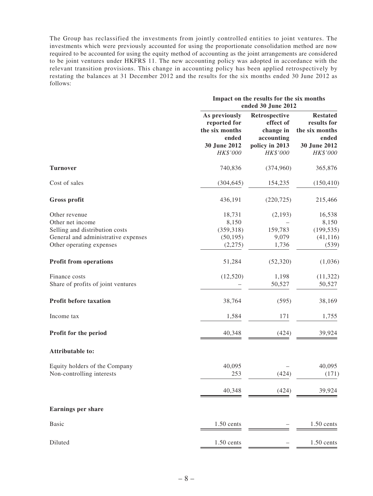The Group has reclassified the investments from jointly controlled entities to joint ventures. The investments which were previously accounted for using the proportionate consolidation method are now required to be accounted for using the equity method of accounting as the joint arrangements are considered to be joint ventures under HKFRS 11. The new accounting policy was adopted in accordance with the relevant transition provisions. This change in accounting policy has been applied retrospectively by restating the balances at 31 December 2012 and the results for the six months ended 30 June 2012 as follows:

|                                     |                                                          | Impact on the results for the six months<br>ended 30 June 2012 |                                                           |  |  |  |
|-------------------------------------|----------------------------------------------------------|----------------------------------------------------------------|-----------------------------------------------------------|--|--|--|
|                                     | As previously<br>reported for<br>the six months<br>ended | Retrospective<br>effect of<br>change in<br>accounting          | <b>Restated</b><br>results for<br>the six months<br>ended |  |  |  |
|                                     | 30 June 2012<br>HK\$'000                                 | policy in 2013<br>HK\$'000                                     | 30 June 2012<br>HK\$'000                                  |  |  |  |
| <b>Turnover</b>                     | 740,836                                                  | (374,960)                                                      | 365,876                                                   |  |  |  |
| Cost of sales                       | (304, 645)                                               | 154,235                                                        | (150, 410)                                                |  |  |  |
| Gross profit                        | 436,191                                                  | (220, 725)                                                     | 215,466                                                   |  |  |  |
| Other revenue<br>Other net income   | 18,731                                                   | (2,193)                                                        | 16,538                                                    |  |  |  |
|                                     | 8,150                                                    |                                                                | 8,150                                                     |  |  |  |
| Selling and distribution costs      | (359, 318)                                               | 159,783                                                        | (199, 535)                                                |  |  |  |
| General and administrative expenses | (50, 195)                                                | 9,079                                                          | (41, 116)                                                 |  |  |  |
| Other operating expenses            | (2,275)                                                  | 1,736                                                          | (539)                                                     |  |  |  |
| <b>Profit from operations</b>       | 51,284                                                   | (52, 320)                                                      | (1,036)                                                   |  |  |  |
| Finance costs                       | (12, 520)                                                | 1,198                                                          | (11, 322)                                                 |  |  |  |
| Share of profits of joint ventures  |                                                          | 50,527                                                         | 50,527                                                    |  |  |  |
| Profit before taxation              | 38,764                                                   | (595)                                                          | 38,169                                                    |  |  |  |
| Income tax                          | 1,584                                                    | 171                                                            | 1,755                                                     |  |  |  |
| Profit for the period               | 40,348                                                   | (424)                                                          | 39,924                                                    |  |  |  |
| <b>Attributable to:</b>             |                                                          |                                                                |                                                           |  |  |  |
| Equity holders of the Company       | 40,095                                                   |                                                                | 40,095                                                    |  |  |  |
| Non-controlling interests           | 253                                                      | (424)                                                          | (171)                                                     |  |  |  |
|                                     | 40,348                                                   | (424)                                                          | 39,924                                                    |  |  |  |
| <b>Earnings per share</b>           |                                                          |                                                                |                                                           |  |  |  |
| <b>Basic</b>                        | $1.50$ cents                                             |                                                                | $1.50$ cents                                              |  |  |  |
| Diluted                             | $1.50$ cents                                             |                                                                | $1.50$ cents                                              |  |  |  |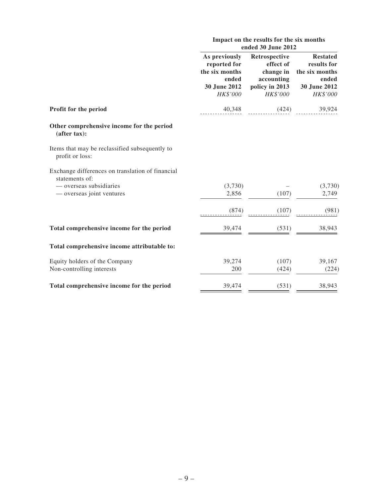|                                                                    | Impact on the results for the six months<br>ended 30 June 2012                       |                                                                                     |                                                                                       |  |  |
|--------------------------------------------------------------------|--------------------------------------------------------------------------------------|-------------------------------------------------------------------------------------|---------------------------------------------------------------------------------------|--|--|
|                                                                    | As previously<br>reported for<br>the six months<br>ended<br>30 June 2012<br>HK\$'000 | Retrospective<br>effect of<br>change in<br>accounting<br>policy in 2013<br>HK\$'000 | <b>Restated</b><br>results for<br>the six months<br>ended<br>30 June 2012<br>HK\$'000 |  |  |
| Profit for the period                                              | 40,348                                                                               | (424)                                                                               | 39,924                                                                                |  |  |
| Other comprehensive income for the period<br>(after tax):          |                                                                                      |                                                                                     |                                                                                       |  |  |
| Items that may be reclassified subsequently to<br>profit or loss:  |                                                                                      |                                                                                     |                                                                                       |  |  |
| Exchange differences on translation of financial<br>statements of: |                                                                                      |                                                                                     |                                                                                       |  |  |
| - overseas subsidiaries                                            | (3,730)                                                                              |                                                                                     | (3,730)                                                                               |  |  |
| — overseas joint ventures                                          | 2,856                                                                                | (107)                                                                               | 2,749                                                                                 |  |  |
|                                                                    | (874)                                                                                | (107)                                                                               | (981)                                                                                 |  |  |
| Total comprehensive income for the period                          | 39,474                                                                               | (531)                                                                               | 38,943                                                                                |  |  |
| Total comprehensive income attributable to:                        |                                                                                      |                                                                                     |                                                                                       |  |  |
| Equity holders of the Company                                      | 39,274                                                                               | (107)                                                                               | 39,167                                                                                |  |  |
| Non-controlling interests                                          | 200                                                                                  | (424)                                                                               | (224)                                                                                 |  |  |
| Total comprehensive income for the period                          | 39,474                                                                               | (531)                                                                               | 38,943                                                                                |  |  |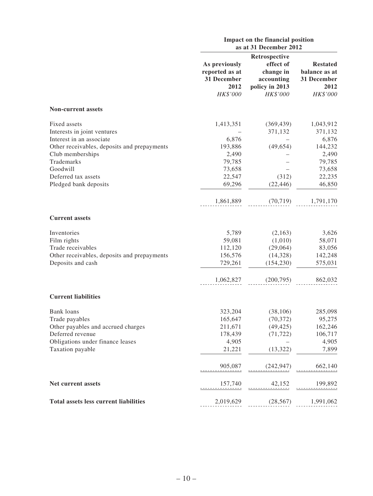|                                                                                                                                                          | Impact on the financial position<br>as at 31 December 2012             |                                                                                     |                                                                      |  |
|----------------------------------------------------------------------------------------------------------------------------------------------------------|------------------------------------------------------------------------|-------------------------------------------------------------------------------------|----------------------------------------------------------------------|--|
|                                                                                                                                                          | As previously<br>reported as at<br>31 December<br>2012<br>HK\$'000     | Retrospective<br>effect of<br>change in<br>accounting<br>policy in 2013<br>HK\$'000 | <b>Restated</b><br>balance as at<br>31 December<br>2012<br>HK\$'000  |  |
| <b>Non-current assets</b>                                                                                                                                |                                                                        |                                                                                     |                                                                      |  |
| Fixed assets<br>Interests in joint ventures<br>Interest in an associate<br>Other receivables, deposits and prepayments<br>Club memberships<br>Trademarks | 1,413,351<br>6,876<br>193,886<br>2,490<br>79,785                       | (369, 439)<br>371,132<br>(49, 654)                                                  | 1,043,912<br>371,132<br>6,876<br>144,232<br>2,490<br>79,785          |  |
| Goodwill<br>Deferred tax assets<br>Pledged bank deposits                                                                                                 | 73,658<br>22,547<br>69,296<br>1,861,889                                | (312)<br>(22, 446)<br>(70, 719)                                                     | 73,658<br>22,235<br>46,850<br>1,791,170                              |  |
| <b>Current assets</b>                                                                                                                                    |                                                                        |                                                                                     |                                                                      |  |
| Inventories<br>Film rights<br>Trade receivables<br>Other receivables, deposits and prepayments<br>Deposits and cash                                      | 5,789<br>59,081<br>112,120<br>156,576<br>729,261<br>1,062,827          | (2,163)<br>(1,010)<br>(29,064)<br>(14,328)<br>(154, 230)<br>(200, 795)              | 3,626<br>58,071<br>83,056<br>142,248<br>575,031<br>862,032           |  |
| <b>Current liabilities</b>                                                                                                                               |                                                                        |                                                                                     |                                                                      |  |
| Bank loans<br>Trade payables<br>Other payables and accrued charges<br>Deferred revenue<br>Obligations under finance leases<br>Taxation payable           | 323,204<br>165,647<br>211,671<br>178,439<br>4,905<br>21,221<br>905,087 | (38, 106)<br>(70, 372)<br>(49, 425)<br>(71, 722)<br>(13, 322)<br>(242, 947)         | 285,098<br>95,275<br>162,246<br>106,717<br>4,905<br>7,899<br>662,140 |  |
| Net current assets                                                                                                                                       | 157,740                                                                | 42,152                                                                              | 199,892                                                              |  |
| <b>Total assets less current liabilities</b>                                                                                                             | 2,019,629                                                              | (28, 567)                                                                           | 1,991,062                                                            |  |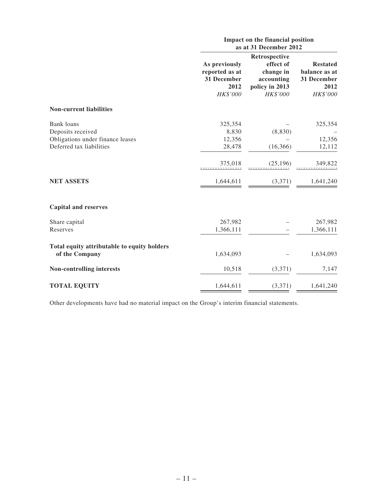|                                                                                                 |                                                                    | Impact on the financial position<br>as at 31 December 2012                          |                                                                     |  |  |  |
|-------------------------------------------------------------------------------------------------|--------------------------------------------------------------------|-------------------------------------------------------------------------------------|---------------------------------------------------------------------|--|--|--|
|                                                                                                 | As previously<br>reported as at<br>31 December<br>2012<br>HK\$'000 | Retrospective<br>effect of<br>change in<br>accounting<br>policy in 2013<br>HK\$'000 | <b>Restated</b><br>balance as at<br>31 December<br>2012<br>HK\$'000 |  |  |  |
| <b>Non-current liabilities</b>                                                                  |                                                                    |                                                                                     |                                                                     |  |  |  |
| Bank loans<br>Deposits received<br>Obligations under finance leases<br>Deferred tax liabilities | 325,354<br>8,830<br>12,356<br>28,478<br>375,018                    | (8, 830)<br>(16, 366)<br>(25, 196)                                                  | 325,354<br>12,356<br>12,112<br>349,822                              |  |  |  |
| <b>NET ASSETS</b>                                                                               | 1,644,611                                                          | (3,371)                                                                             | 1,641,240                                                           |  |  |  |
| <b>Capital and reserves</b>                                                                     |                                                                    |                                                                                     |                                                                     |  |  |  |
| Share capital<br>Reserves                                                                       | 267,982<br>1,366,111                                               |                                                                                     | 267,982<br>1,366,111                                                |  |  |  |
| Total equity attributable to equity holders<br>of the Company                                   | 1,634,093                                                          |                                                                                     | 1,634,093                                                           |  |  |  |
| Non-controlling interests                                                                       | 10,518                                                             | (3,371)                                                                             | 7,147                                                               |  |  |  |
| <b>TOTAL EQUITY</b>                                                                             | 1,644,611                                                          | (3,371)                                                                             | 1,641,240                                                           |  |  |  |

Other developments have had no material impact on the Group's interim financial statements.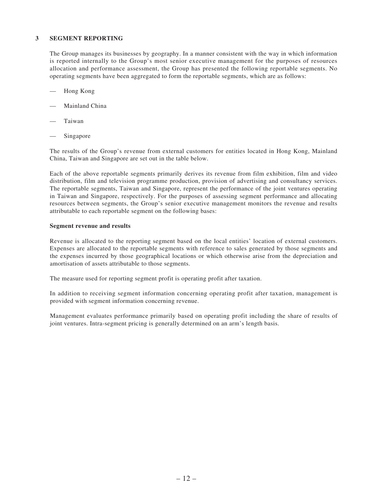#### **3 Segment reporting**

The Group manages its businesses by geography. In a manner consistent with the way in which information is reported internally to the Group's most senior executive management for the purposes of resources allocation and performance assessment, the Group has presented the following reportable segments. No operating segments have been aggregated to form the reportable segments, which are as follows:

- Hong Kong
- Mainland China
- **Taiwan**
- Singapore

The results of the Group's revenue from external customers for entities located in Hong Kong, Mainland China, Taiwan and Singapore are set out in the table below.

Each of the above reportable segments primarily derives its revenue from film exhibition, film and video distribution, film and television programme production, provision of advertising and consultancy services. The reportable segments, Taiwan and Singapore, represent the performance of the joint ventures operating in Taiwan and Singapore, respectively. For the purposes of assessing segment performance and allocating resources between segments, the Group's senior executive management monitors the revenue and results attributable to each reportable segment on the following bases:

#### **Segment revenue and results**

Revenue is allocated to the reporting segment based on the local entities' location of external customers. Expenses are allocated to the reportable segments with reference to sales generated by those segments and the expenses incurred by those geographical locations or which otherwise arise from the depreciation and amortisation of assets attributable to those segments.

The measure used for reporting segment profit is operating profit after taxation.

In addition to receiving segment information concerning operating profit after taxation, management is provided with segment information concerning revenue.

Management evaluates performance primarily based on operating profit including the share of results of joint ventures. Intra-segment pricing is generally determined on an arm's length basis.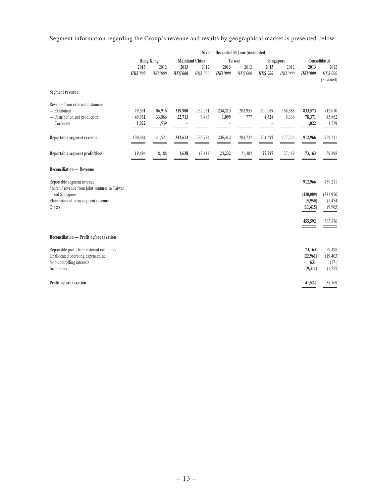Segment information regarding the Group's revenue and results by geographical market is presented below:

|                                                                                                                                                 | Six months ended 30 June (unaudited) |                            |                         |                  |                         |                  |                         |                  |                                                         |                                                        |
|-------------------------------------------------------------------------------------------------------------------------------------------------|--------------------------------------|----------------------------|-------------------------|------------------|-------------------------|------------------|-------------------------|------------------|---------------------------------------------------------|--------------------------------------------------------|
|                                                                                                                                                 | <b>Hong Kong</b>                     |                            | <b>Mainland China</b>   |                  |                         | Taiwan           |                         | Singapore        |                                                         | Consolidated                                           |
|                                                                                                                                                 | 2013<br><b>HK\$'000</b>              | 2012<br>HK\$'000           | 2013<br><b>HK\$'000</b> | 2012<br>HK\$'000 | 2013<br><b>HK\$'000</b> | 2012<br>HK\$'000 | 2013<br><b>HK\$'000</b> | 2012<br>HK\$'000 | 2013<br><b>HK\$'000</b>                                 | 2012<br>HK\$'000<br>(Restated)                         |
| Segment revenue:                                                                                                                                |                                      |                            |                         |                  |                         |                  |                         |                  |                                                         |                                                        |
| Revenue from external customers<br>$-$ Exhibition<br>- Distribution and production<br>$-$ Corporate                                             | 79,391<br>49,931<br>1,022            | 106,916<br>33,066<br>1,539 | 319,900<br>22,713       | 232,251<br>3,483 | 234,213<br>1,099        | 203,955<br>777   | 200,069<br>4,628        | 168,888<br>8,336 | 833,573<br>78,371<br>1,022                              | 712,010<br>45,662<br>1,539                             |
| Reportable segment revenue                                                                                                                      | 130,344                              | 141,521                    | 342,613                 | 235,734          | 235,312                 | 204,732          | 204,697                 | 177,224          | 912,966                                                 | 759,211                                                |
| Reportable segment profit/(loss)                                                                                                                | 19,496                               | 18,188                     | 1,638                   | (7, 411)         | 24,232                  | 21,302           | 27,797                  | 27,419           | 73,163                                                  | 59,498                                                 |
| <b>Reconciliation — Revenue</b>                                                                                                                 |                                      |                            |                         |                  |                         |                  |                         |                  |                                                         |                                                        |
| Reportable segment revenue<br>Share of revenue from joint ventures in Taiwan<br>and Singapore<br>Elimination of intra-segment revenue<br>Others |                                      |                            |                         |                  |                         |                  |                         |                  | 912,966<br>(440,009)<br>(5,950)<br>(11, 415)<br>455,592 | 759,211<br>(381,956)<br>(1, 474)<br>(9,905)<br>365,876 |
| Reconciliation — Profit before taxation                                                                                                         |                                      |                            |                         |                  |                         |                  |                         |                  |                                                         |                                                        |
| Reportable profit from external customers<br>Unallocated operating expenses, net<br>Non-controlling interests<br>Income tax                     |                                      |                            |                         |                  |                         |                  |                         |                  | 73,163<br>(22,961)<br>631<br>(9,311)                    | 59,498<br>(19, 403)<br>(171)<br>(1,755)                |
| Profit before taxation                                                                                                                          |                                      |                            |                         |                  |                         |                  |                         |                  | 41,522                                                  | 38,169                                                 |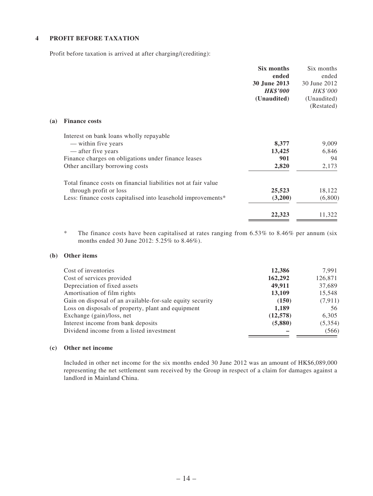#### **4 Profit before taxation**

Profit before taxation is arrived at after charging/(crediting):

|                                                                | Six months | Six months                                              |
|----------------------------------------------------------------|------------|---------------------------------------------------------|
|                                                                |            | ended                                                   |
|                                                                |            | 30 June 2012                                            |
|                                                                |            | HK\$'000                                                |
|                                                                |            | (Unaudited)                                             |
|                                                                |            | (Restated)                                              |
| <b>Finance costs</b>                                           |            |                                                         |
| Interest on bank loans wholly repayable                        |            |                                                         |
| — within five years                                            | 8,377      | 9,009                                                   |
| — after five years                                             | 13,425     | 6,846                                                   |
| Finance charges on obligations under finance leases            | 901        | 94                                                      |
| Other ancillary borrowing costs                                | 2,820      | 2,173                                                   |
| Total finance costs on financial liabilities not at fair value |            |                                                         |
| through profit or loss                                         | 25,523     | 18,122                                                  |
| Less: finance costs capitalised into leasehold improvements*   | (3,200)    | (6,800)                                                 |
|                                                                | 22,323     | 11,322                                                  |
|                                                                |            | ended<br>30 June 2013<br><b>HK\$'000</b><br>(Unaudited) |

\* The finance costs have been capitalised at rates ranging from 6.53% to 8.46% per annum (six months ended 30 June 2012: 5.25% to 8.46%).

### **(b) Other items**

| Cost of inventories                                       | 12,386   | 7.991    |
|-----------------------------------------------------------|----------|----------|
| Cost of services provided                                 | 162,292  | 126,871  |
| Depreciation of fixed assets                              | 49,911   | 37,689   |
| Amortisation of film rights                               | 13,109   | 15,548   |
| Gain on disposal of an available-for-sale equity security | (150)    | (7, 911) |
| Loss on disposals of property, plant and equipment        | 1,189    | 56       |
| Exchange (gain)/loss, net                                 | (12,578) | 6,305    |
| Interest income from bank deposits                        | (5,880)  | (5,354)  |
| Dividend income from a listed investment                  |          | (566)    |

#### **(c) Other net income**

Included in other net income for the six months ended 30 June 2012 was an amount of HK\$6,089,000 representing the net settlement sum received by the Group in respect of a claim for damages against a landlord in Mainland China.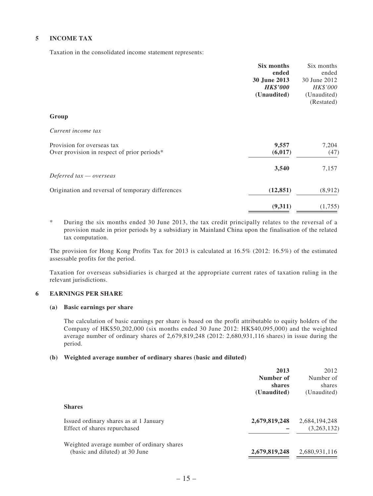#### **5 Income tax**

Taxation in the consolidated income statement represents:

|                                                                           | Six months<br>ended<br>30 June 2013<br><b>HK\$'000</b><br>(Unaudited) | Six months<br>ended<br>30 June 2012<br>HK\$'000<br>(Unaudited)<br>(Restated) |
|---------------------------------------------------------------------------|-----------------------------------------------------------------------|------------------------------------------------------------------------------|
| Group                                                                     |                                                                       |                                                                              |
| Current income tax                                                        |                                                                       |                                                                              |
| Provision for overseas tax<br>Over provision in respect of prior periods* | 9,557<br>(6, 017)                                                     | 7,204<br>(47)                                                                |
| Deferred $tax -overse$                                                    | 3,540                                                                 | 7,157                                                                        |
| Origination and reversal of temporary differences                         | (12, 851)                                                             | (8,912)                                                                      |
|                                                                           | (9,311)                                                               | (1,755)                                                                      |

\* During the six months ended 30 June 2013, the tax credit principally relates to the reversal of a provision made in prior periods by a subsidiary in Mainland China upon the finalisation of the related tax computation.

The provision for Hong Kong Profits Tax for 2013 is calculated at 16.5% (2012: 16.5%) of the estimated assessable profits for the period.

Taxation for overseas subsidiaries is charged at the appropriate current rates of taxation ruling in the relevant jurisdictions.

### **6 Earnings per share**

#### **(a) Basic earnings per share**

The calculation of basic earnings per share is based on the profit attributable to equity holders of the Company of HK\$50,202,000 (six months ended 30 June 2012: HK\$40,095,000) and the weighted average number of ordinary shares of 2,679,819,248 (2012: 2,680,931,116 shares) in issue during the period.

#### **(b) Weighted average number of ordinary shares (basic and diluted)**

|                                                                              | 2013<br>Number of<br><b>shares</b> | 2012<br>Number of<br>shares  |
|------------------------------------------------------------------------------|------------------------------------|------------------------------|
| <b>Shares</b>                                                                | (Unaudited)                        | (Unaudited)                  |
| Issued ordinary shares as at 1 January<br>Effect of shares repurchased       | 2,679,819,248                      | 2,684,194,248<br>(3,263,132) |
| Weighted average number of ordinary shares<br>(basic and diluted) at 30 June | 2,679,819,248                      | 2,680,931,116                |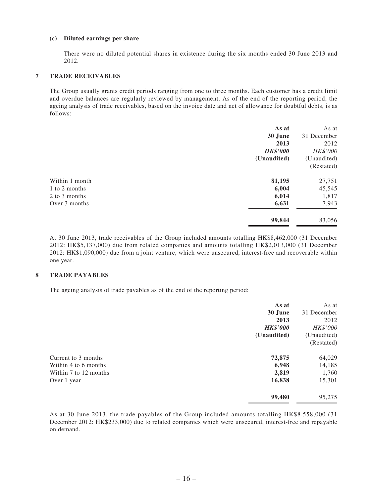#### **(c) Diluted earnings per share**

There were no diluted potential shares in existence during the six months ended 30 June 2013 and 2012.

#### **7 Trade receivables**

The Group usually grants credit periods ranging from one to three months. Each customer has a credit limit and overdue balances are regularly reviewed by management. As of the end of the reporting period, the ageing analysis of trade receivables, based on the invoice date and net of allowance for doubtful debts, is as follows:

|                | As at           | As at       |
|----------------|-----------------|-------------|
|                | 30 June         | 31 December |
|                | 2013            | 2012        |
|                | <b>HK\$'000</b> | HK\$'000    |
|                | (Unaudited)     | (Unaudited) |
|                |                 | (Restated)  |
| Within 1 month | 81,195          | 27,751      |
| 1 to 2 months  | 6,004           | 45,545      |
| 2 to 3 months  | 6,014           | 1,817       |
| Over 3 months  | 6,631           | 7,943       |
|                | 99,844          | 83,056      |

At 30 June 2013, trade receivables of the Group included amounts totalling HK\$8,462,000 (31 December 2012: HK\$5,137,000) due from related companies and amounts totalling HK\$2,013,000 (31 December 2012: HK\$1,090,000) due from a joint venture, which were unsecured, interest-free and recoverable within one year.

#### **8 Trade payables**

The ageing analysis of trade payables as of the end of the reporting period:

|                       | As at           | As at       |
|-----------------------|-----------------|-------------|
|                       | 30 June         | 31 December |
|                       | 2013            | 2012        |
|                       | <b>HK\$'000</b> | HK\$'000    |
|                       | (Unaudited)     | (Unaudited) |
|                       |                 | (Restated)  |
| Current to 3 months   | 72,875          | 64,029      |
| Within 4 to 6 months  | 6,948           | 14,185      |
| Within 7 to 12 months | 2,819           | 1,760       |
| Over 1 year           | 16,838          | 15,301      |
|                       | 99,480          | 95,275      |

As at 30 June 2013, the trade payables of the Group included amounts totalling HK\$8,558,000 (31 December 2012: HK\$233,000) due to related companies which were unsecured, interest-free and repayable on demand.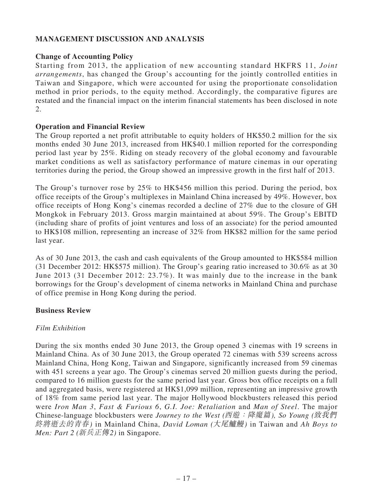# **MANAGEMENT DISCUSSION AND ANALYSIS**

# **Change of Accounting Policy**

Starting from 2013, the application of new accounting standard HKFRS 11, *Joint arrangements*, has changed the Group's accounting for the jointly controlled entities in Taiwan and Singapore, which were accounted for using the proportionate consolidation method in prior periods, to the equity method. Accordingly, the comparative figures are restated and the financial impact on the interim financial statements has been disclosed in note 2.

### **Operation and Financial Review**

The Group reported a net profit attributable to equity holders of HK\$50.2 million for the six months ended 30 June 2013, increased from HK\$40.1 million reported for the corresponding period last year by 25%. Riding on steady recovery of the global economy and favourable market conditions as well as satisfactory performance of mature cinemas in our operating territories during the period, the Group showed an impressive growth in the first half of 2013.

The Group's turnover rose by 25% to HK\$456 million this period. During the period, box office receipts of the Group's multiplexes in Mainland China increased by 49%. However, box office receipts of Hong Kong's cinemas recorded a decline of 27% due to the closure of GH Mongkok in February 2013. Gross margin maintained at about 59%. The Group's EBITD (including share of profits of joint ventures and loss of an associate) for the period amounted to HK\$108 million, representing an increase of 32% from HK\$82 million for the same period last year.

As of 30 June 2013, the cash and cash equivalents of the Group amounted to HK\$584 million (31 December 2012: HK\$575 million). The Group's gearing ratio increased to 30.6% as at 30 June 2013 (31 December 2012: 23.7%). It was mainly due to the increase in the bank borrowings for the Group's development of cinema networks in Mainland China and purchase of office premise in Hong Kong during the period.

### **Business Review**

# *Film Exhibition*

During the six months ended 30 June 2013, the Group opened 3 cinemas with 19 screens in Mainland China. As of 30 June 2013, the Group operated 72 cinemas with 539 screens across Mainland China, Hong Kong, Taiwan and Singapore, significantly increased from 59 cinemas with 451 screens a year ago. The Group's cinemas served 20 million guests during the period, compared to 16 million guests for the same period last year. Gross box office receipts on a full and aggregated basis, were registered at HK\$1,099 million, representing an impressive growth of 18% from same period last year. The major Hollywood blockbusters released this period were *Iron Man 3*, *Fast & Furious 6*, *G.I. Joe: Retaliation* and *Man of Steel*. The major Chinese-language blockbusters were *Journey to the West (*西遊:降魔篇*), So Young (*致我們 終將逝去的青春*)* in Mainland China, *David Loman (*大尾鱸鰻*)* in Taiwan and *Ah Boys to Men: Part 2 (*新兵正傳*2)* in Singapore.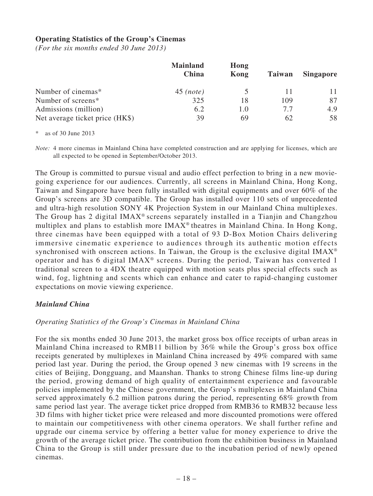## **Operating Statistics of the Group's Cinemas**

*(For the six months ended 30 June 2013)*

|                                 | <b>Mainland</b><br>China | Hong<br>Kong | Taiwan | <b>Singapore</b> |
|---------------------------------|--------------------------|--------------|--------|------------------|
| Number of cinemas*              | $45$ (note)              |              | 11     |                  |
| Number of screens*              | 325                      | 18           | 109    | 87               |
| Admissions (million)            | 6.2                      | 1.0          | 7.7    | 4.9              |
| Net average ticket price (HK\$) | 39                       | 69           | 62     | 58               |

as of 30 June 2013

*Note:* 4 more cinemas in Mainland China have completed construction and are applying for licenses, which are all expected to be opened in September/October 2013.

The Group is committed to pursue visual and audio effect perfection to bring in a new moviegoing experience for our audiences. Currently, all screens in Mainland China, Hong Kong, Taiwan and Singapore have been fully installed with digital equipments and over 60% of the Group's screens are 3D compatible. The Group has installed over 110 sets of unprecedented and ultra-high resolution SONY 4K Projection System in our Mainland China multiplexes. The Group has 2 digital IMAX® screens separately installed in a Tianjin and Changzhou multiplex and plans to establish more IMAX® theatres in Mainland China. In Hong Kong, three cinemas have been equipped with a total of 93 D-Box Motion Chairs delivering immersive cinematic experience to audiences through its authentic motion effects synchronised with onscreen actions. In Taiwan, the Group is the exclusive digital IMAX® operator and has 6 digital IMAX® screens. During the period, Taiwan has converted 1 traditional screen to a 4DX theatre equipped with motion seats plus special effects such as wind, fog, lightning and scents which can enhance and cater to rapid-changing customer expectations on movie viewing experience.

### *Mainland China*

# *Operating Statistics of the Group's Cinemas in Mainland China*

For the six months ended 30 June 2013, the market gross box office receipts of urban areas in Mainland China increased to RMB11 billion by 36% while the Group's gross box office receipts generated by multiplexes in Mainland China increased by 49% compared with same period last year. During the period, the Group opened 3 new cinemas with 19 screens in the cities of Beijing, Dongguang, and Maanshan. Thanks to strong Chinese films line-up during the period, growing demand of high quality of entertainment experience and favourable policies implemented by the Chinese government, the Group's multiplexes in Mainland China served approximately 6.2 million patrons during the period, representing 68% growth from same period last year. The average ticket price dropped from RMB36 to RMB32 because less 3D films with higher ticket price were released and more discounted promotions were offered to maintain our competitiveness with other cinema operators. We shall further refine and upgrade our cinema service by offering a better value for money experience to drive the growth of the average ticket price. The contribution from the exhibition business in Mainland China to the Group is still under pressure due to the incubation period of newly opened cinemas.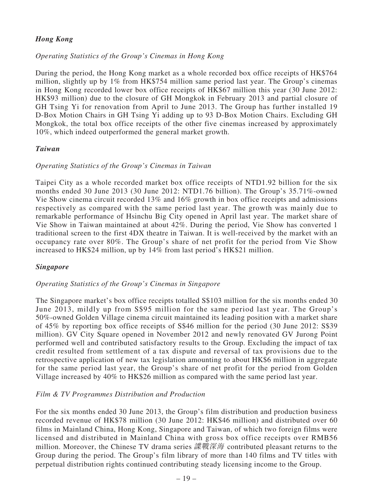# *Hong Kong*

# *Operating Statistics of the Group's Cinemas in Hong Kong*

During the period, the Hong Kong market as a whole recorded box office receipts of HK\$764 million, slightly up by 1% from HK\$754 million same period last year. The Group's cinemas in Hong Kong recorded lower box office receipts of HK\$67 million this year (30 June 2012: HK\$93 million) due to the closure of GH Mongkok in February 2013 and partial closure of GH Tsing Yi for renovation from April to June 2013. The Group has further installed 19 D-Box Motion Chairs in GH Tsing Yi adding up to 93 D-Box Motion Chairs. Excluding GH Mongkok, the total box office receipts of the other five cinemas increased by approximately 10%, which indeed outperformed the general market growth.

### *Taiwan*

### *Operating Statistics of the Group's Cinemas in Taiwan*

Taipei City as a whole recorded market box office receipts of NTD1.92 billion for the six months ended 30 June 2013 (30 June 2012: NTD1.76 billion). The Group's 35.71%-owned Vie Show cinema circuit recorded 13% and 16% growth in box office receipts and admissions respectively as compared with the same period last year. The growth was mainly due to remarkable performance of Hsinchu Big City opened in April last year. The market share of Vie Show in Taiwan maintained at about 42%. During the period, Vie Show has converted 1 traditional screen to the first 4DX theatre in Taiwan. It is well-received by the market with an occupancy rate over 80%. The Group's share of net profit for the period from Vie Show increased to HK\$24 million, up by 14% from last period's HK\$21 million.

# *Singapore*

### *Operating Statistics of the Group's Cinemas in Singapore*

The Singapore market's box office receipts totalled S\$103 million for the six months ended 30 June 2013, mildly up from S\$95 million for the same period last year. The Group's 50%-owned Golden Village cinema circuit maintained its leading position with a market share of 45% by reporting box office receipts of S\$46 million for the period (30 June 2012: S\$39 million). GV City Square opened in November 2012 and newly renovated GV Jurong Point performed well and contributed satisfactory results to the Group. Excluding the impact of tax credit resulted from settlement of a tax dispute and reversal of tax provisions due to the retrospective application of new tax legislation amounting to about HK\$6 million in aggregate for the same period last year, the Group's share of net profit for the period from Golden Village increased by 40% to HK\$26 million as compared with the same period last year.

### *Film & TV Programmes Distribution and Production*

For the six months ended 30 June 2013, the Group's film distribution and production business recorded revenue of HK\$78 million (30 June 2012: HK\$46 million) and distributed over 60 films in Mainland China, Hong Kong, Singapore and Taiwan, of which two foreign films were licensed and distributed in Mainland China with gross box office receipts over RMB56 million. Moreover, the Chinese TV drama series 諜戰深海 contributed pleasant returns to the Group during the period. The Group's film library of more than 140 films and TV titles with perpetual distribution rights continued contributing steady licensing income to the Group.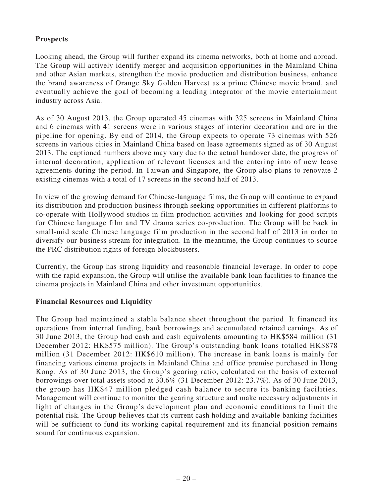# **Prospects**

Looking ahead, the Group will further expand its cinema networks, both at home and abroad. The Group will actively identify merger and acquisition opportunities in the Mainland China and other Asian markets, strengthen the movie production and distribution business, enhance the brand awareness of Orange Sky Golden Harvest as a prime Chinese movie brand, and eventually achieve the goal of becoming a leading integrator of the movie entertainment industry across Asia.

As of 30 August 2013, the Group operated 45 cinemas with 325 screens in Mainland China and 6 cinemas with 41 screens were in various stages of interior decoration and are in the pipeline for opening. By end of 2014, the Group expects to operate 73 cinemas with 526 screens in various cities in Mainland China based on lease agreements signed as of 30 August 2013. The captioned numbers above may vary due to the actual handover date, the progress of internal decoration, application of relevant licenses and the entering into of new lease agreements during the period. In Taiwan and Singapore, the Group also plans to renovate 2 existing cinemas with a total of 17 screens in the second half of 2013.

In view of the growing demand for Chinese-language films, the Group will continue to expand its distribution and production business through seeking opportunities in different platforms to co-operate with Hollywood studios in film production activities and looking for good scripts for Chinese language film and TV drama series co-production. The Group will be back in small-mid scale Chinese language film production in the second half of 2013 in order to diversify our business stream for integration. In the meantime, the Group continues to source the PRC distribution rights of foreign blockbusters.

Currently, the Group has strong liquidity and reasonable financial leverage. In order to cope with the rapid expansion, the Group will utilise the available bank loan facilities to finance the cinema projects in Mainland China and other investment opportunities.

# **Financial Resources and Liquidity**

The Group had maintained a stable balance sheet throughout the period. It financed its operations from internal funding, bank borrowings and accumulated retained earnings. As of 30 June 2013, the Group had cash and cash equivalents amounting to HK\$584 million (31 December 2012: HK\$575 million). The Group's outstanding bank loans totalled HK\$878 million (31 December 2012: HK\$610 million). The increase in bank loans is mainly for financing various cinema projects in Mainland China and office premise purchased in Hong Kong. As of 30 June 2013, the Group's gearing ratio, calculated on the basis of external borrowings over total assets stood at 30.6% (31 December 2012: 23.7%). As of 30 June 2013, the group has HK\$47 million pledged cash balance to secure its banking facilities. Management will continue to monitor the gearing structure and make necessary adjustments in light of changes in the Group's development plan and economic conditions to limit the potential risk. The Group believes that its current cash holding and available banking facilities will be sufficient to fund its working capital requirement and its financial position remains sound for continuous expansion.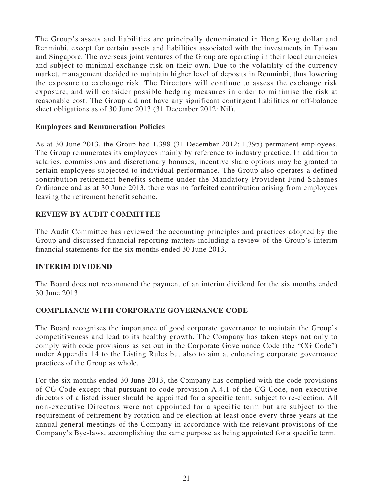The Group's assets and liabilities are principally denominated in Hong Kong dollar and Renminbi, except for certain assets and liabilities associated with the investments in Taiwan and Singapore. The overseas joint ventures of the Group are operating in their local currencies and subject to minimal exchange risk on their own. Due to the volatility of the currency market, management decided to maintain higher level of deposits in Renminbi, thus lowering the exposure to exchange risk. The Directors will continue to assess the exchange risk exposure, and will consider possible hedging measures in order to minimise the risk at reasonable cost. The Group did not have any significant contingent liabilities or off-balance sheet obligations as of 30 June 2013 (31 December 2012: Nil).

### **Employees and Remuneration Policies**

As at 30 June 2013, the Group had 1,398 (31 December 2012: 1,395) permanent employees. The Group remunerates its employees mainly by reference to industry practice. In addition to salaries, commissions and discretionary bonuses, incentive share options may be granted to certain employees subjected to individual performance. The Group also operates a defined contribution retirement benefits scheme under the Mandatory Provident Fund Schemes Ordinance and as at 30 June 2013, there was no forfeited contribution arising from employees leaving the retirement benefit scheme.

# **REVIEW BY AUDIT COMMITTEE**

The Audit Committee has reviewed the accounting principles and practices adopted by the Group and discussed financial reporting matters including a review of the Group's interim financial statements for the six months ended 30 June 2013.

# **INTERIM DIVIDEND**

The Board does not recommend the payment of an interim dividend for the six months ended 30 June 2013.

# **COMPLIANCE WITH CORPORATE GOVERNANCE CODE**

The Board recognises the importance of good corporate governance to maintain the Group's competitiveness and lead to its healthy growth. The Company has taken steps not only to comply with code provisions as set out in the Corporate Governance Code (the "CG Code") under Appendix 14 to the Listing Rules but also to aim at enhancing corporate governance practices of the Group as whole.

For the six months ended 30 June 2013, the Company has complied with the code provisions of CG Code except that pursuant to code provision A.4.1 of the CG Code, non-executive directors of a listed issuer should be appointed for a specific term, subject to re-election. All non-executive Directors were not appointed for a specific term but are subject to the requirement of retirement by rotation and re-election at least once every three years at the annual general meetings of the Company in accordance with the relevant provisions of the Company's Bye-laws, accomplishing the same purpose as being appointed for a specific term.